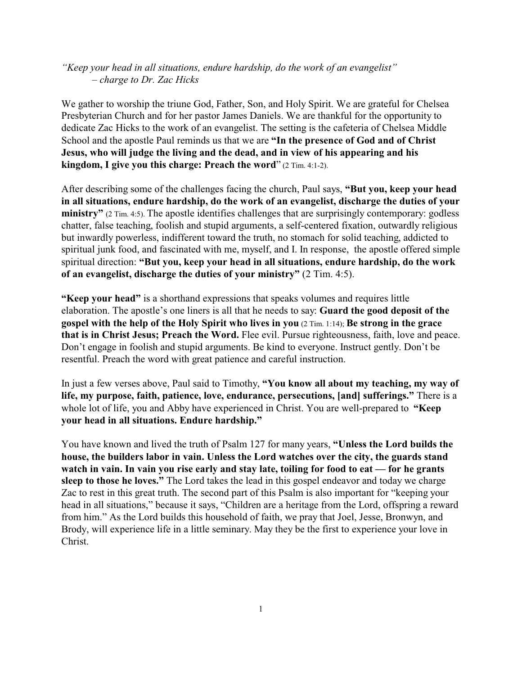*"Keep your head in all situations, endure hardship, do the work of an evangelist" – charge to Dr. Zac Hicks*

We gather to worship the triune God, Father, Son, and Holy Spirit. We are grateful for Chelsea Presbyterian Church and for her pastor James Daniels. We are thankful for the opportunity to dedicate Zac Hicks to the work of an evangelist. The setting is the cafeteria of Chelsea Middle School and the apostle Paul reminds us that we are **"In the presence of God and of Christ Jesus, who will judge the living and the dead, and in view of his appearing and his kingdom, I give you this charge: Preach the word**" (2 Tim. 4:1-2).

After describing some of the challenges facing the church, Paul says, **"But you, keep your head in all situations, endure hardship, do the work of an evangelist, discharge the duties of your ministry"** (2 Tim. 4:5). The apostle identifies challenges that are surprisingly contemporary: godless chatter, false teaching, foolish and stupid arguments, a self-centered fixation, outwardly religious but inwardly powerless, indifferent toward the truth, no stomach for solid teaching, addicted to spiritual junk food, and fascinated with me, myself, and I. In response, the apostle offered simple spiritual direction: **"But you, keep your head in all situations, endure hardship, do the work of an evangelist, discharge the duties of your ministry"** (2 Tim. 4:5).

**"Keep your head"** is a shorthand expressions that speaks volumes and requires little elaboration. The apostle's one liners is all that he needs to say: **Guard the good deposit of the gospel with the help of the Holy Spirit who lives in you** (2 Tim. 1:14); **Be strong in the grace that is in Christ Jesus; Preach the Word.** Flee evil. Pursue righteousness, faith, love and peace. Don't engage in foolish and stupid arguments. Be kind to everyone. Instruct gently. Don't be resentful. Preach the word with great patience and careful instruction.

In just a few verses above, Paul said to Timothy, **"You know all about my teaching, my way of life, my purpose, faith, patience, love, endurance, persecutions, [and] sufferings."** There is a whole lot of life, you and Abby have experienced in Christ. You are well-prepared to **"Keep your head in all situations. Endure hardship."** 

You have known and lived the truth of Psalm 127 for many years, **"Unless the Lord builds the house, the builders labor in vain. Unless the Lord watches over the city, the guards stand watch in vain. In vain you rise early and stay late, toiling for food to eat — for he grants sleep to those he loves."** The Lord takes the lead in this gospel endeavor and today we charge Zac to rest in this great truth. The second part of this Psalm is also important for "keeping your head in all situations," because it says, "Children are a heritage from the Lord, offspring a reward from him." As the Lord builds this household of faith, we pray that Joel, Jesse, Bronwyn, and Brody, will experience life in a little seminary. May they be the first to experience your love in Christ.